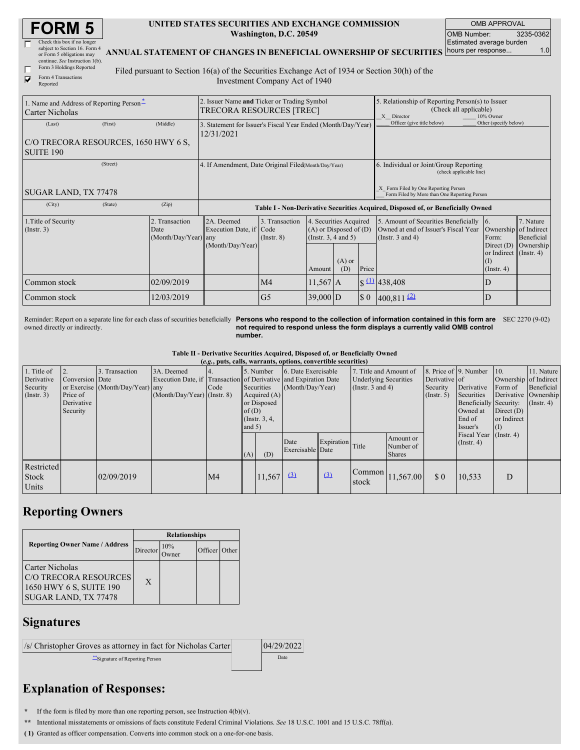| <b>FORM 5</b> |
|---------------|
|---------------|

| Check this box if no longer     |  |
|---------------------------------|--|
| subject to Section 16. Form 4   |  |
| or Form 5 obligations may       |  |
| continue. See Instruction 1(b). |  |
| Form 3 Holdings Reported        |  |

|   | T orm a rroughless tree |
|---|-------------------------|
| M | Form 4 Transactions     |
|   | Reported                |

## **UNITED STATES SECURITIES AND EXCHANGE COMMISSION Washington, D.C. 20549**

OMB APPROVAL OMB Number: 3235-0362 Estimated average burden hours per response... 1.0

**ANNUAL STATEMENT OF CHANGES IN BENEFICIAL OWNERSHIP OF SECURITIES**

Filed pursuant to Section 16(a) of the Securities Exchange Act of 1934 or Section 30(h) of the Investment Company Act of 1940

| 1. Name and Address of Reporting Person-<br><b>Carter Nicholas</b> |         |                                                | 2. Issuer Name and Ticker or Trading Symbol<br><b>TRECORA RESOURCES [TREC]</b> |                                   |                                                                                            |                 |                            | 5. Relationship of Reporting Person(s) to Issuer<br>(Check all applicable)<br>X Director              | 10% Owner                                                                                             |                                      |  |
|--------------------------------------------------------------------|---------|------------------------------------------------|--------------------------------------------------------------------------------|-----------------------------------|--------------------------------------------------------------------------------------------|-----------------|----------------------------|-------------------------------------------------------------------------------------------------------|-------------------------------------------------------------------------------------------------------|--------------------------------------|--|
| (Last)                                                             | (First) | (Middle)                                       | 3. Statement for Issuer's Fiscal Year Ended (Month/Day/Year)<br>12/31/2021     |                                   |                                                                                            |                 | Officer (give title below) | Other (specify below)                                                                                 |                                                                                                       |                                      |  |
| C/O TRECORA RESOURCES, 1650 HWY 6 S.                               |         |                                                |                                                                                |                                   |                                                                                            |                 |                            |                                                                                                       |                                                                                                       |                                      |  |
| <b>SUITE 190</b>                                                   |         |                                                |                                                                                |                                   |                                                                                            |                 |                            |                                                                                                       |                                                                                                       |                                      |  |
| (Street)                                                           |         |                                                | 4. If Amendment, Date Original Filed(Month/Day/Year)                           |                                   |                                                                                            |                 |                            | 6. Individual or Joint/Group Reporting<br>(check applicable line)                                     |                                                                                                       |                                      |  |
| SUGAR LAND, TX 77478                                               |         |                                                |                                                                                |                                   |                                                                                            |                 |                            | X Form Filed by One Reporting Person<br>Form Filed by More than One Reporting Person                  |                                                                                                       |                                      |  |
| (City)                                                             | (State) | (Zip)                                          |                                                                                |                                   |                                                                                            |                 |                            | Table I - Non-Derivative Securities Acquired, Disposed of, or Beneficially Owned                      |                                                                                                       |                                      |  |
|                                                                    |         |                                                |                                                                                |                                   |                                                                                            |                 |                            |                                                                                                       |                                                                                                       |                                      |  |
| 1. Title of Security<br>(Insert. 3)                                |         | 2. Transaction<br>Date<br>(Month/Day/Year) any | 2A. Deemed<br>Execution Date, if Code<br>(Month/Day/Year)                      | 3. Transaction<br>$($ Instr. $8)$ | 4. Securities Acquired<br>$(A)$ or Disposed of $(D)$<br>(Instr. $3, 4$ and $5$ )<br>Amount | $(A)$ or<br>(D) | Price                      | 5. Amount of Securities Beneficially<br>Owned at end of Issuer's Fiscal Year<br>(Instr. $3$ and $4$ ) | 16.<br>Ownership of Indirect<br>Form:<br>Direct (D)<br>or Indirect (Instr. 4)<br>(I)<br>$($ Instr. 4) | 7. Nature<br>Beneficial<br>Ownership |  |
| Common stock                                                       |         | 02/09/2019                                     |                                                                                | M <sub>4</sub>                    | $11,567$ A                                                                                 |                 |                            | $\frac{(1)}{2}$ 438,408                                                                               | D                                                                                                     |                                      |  |

Reminder: Report on a separate line for each class of securities beneficially Persons who respond to the collection of information contained in this form are owned directly or indirectly. **not required to respond unless the form displays a currently valid OMB control number.** SEC 2270 (9-02)

**Table II - Derivative Securities Acquired, Disposed of, or Beneficially Owned**

|                                     |                 |                                  |                                                                  | (e.g., puts, calls, warrants, options, convertible securities) |          |                 |                          |                  |                              |                                         |               |                                 |                       |                      |
|-------------------------------------|-----------------|----------------------------------|------------------------------------------------------------------|----------------------------------------------------------------|----------|-----------------|--------------------------|------------------|------------------------------|-----------------------------------------|---------------|---------------------------------|-----------------------|----------------------|
| 1. Title of                         |                 | 3. Transaction                   | 3A. Deemed                                                       |                                                                |          | 5. Number       | 6. Date Exercisable      |                  | 7. Title and Amount of       |                                         |               | 8. Price of 9. Number           | 10.                   | 11. Nature           |
| Derivative                          | Conversion Date |                                  | Execution Date, if Transaction of Derivative and Expiration Date |                                                                |          |                 |                          |                  | <b>Underlying Securities</b> |                                         | Derivative of |                                 | Ownership of Indirect |                      |
| Security                            |                 | or Exercise (Month/Day/Year) any |                                                                  | Code                                                           |          | Securities      | (Month/Day/Year)         |                  | (Instr. 3 and 4)             |                                         | Security      | Derivative                      | Form of               | Beneficial           |
| (Insert. 3)                         | Price of        |                                  | $(Month/Day/Year)$ (Instr. 8)                                    |                                                                |          | Acquired $(A)$  |                          |                  |                              |                                         | (Insert. 5)   | Securities                      |                       | Derivative Ownership |
|                                     | Derivative      |                                  |                                                                  |                                                                |          | or Disposed     |                          |                  |                              |                                         |               | Beneficially Security:          |                       | $($ Instr. 4 $)$     |
|                                     | Security        |                                  |                                                                  |                                                                | of(D)    |                 |                          |                  |                              |                                         |               | Owned at                        | Direct $(D)$          |                      |
|                                     |                 |                                  |                                                                  |                                                                |          | (Instr. $3, 4,$ |                          |                  |                              |                                         |               | End of                          | or Indirect           |                      |
|                                     |                 |                                  |                                                                  |                                                                | and $5)$ |                 |                          |                  |                              |                                         |               | Issuer's                        | (I)                   |                      |
|                                     |                 |                                  |                                                                  |                                                                | (A)      | (D)             | Date<br>Exercisable Date | Expiration Title |                              | Amount or<br>Number of<br><b>Shares</b> |               | Fiscal Year<br>$($ Instr. 4 $)$ | $($ Instr. 4)         |                      |
| Restricted<br><b>Stock</b><br>Units |                 | 02/09/2019                       |                                                                  | M <sub>4</sub>                                                 |          | 11,567          | $\Omega$                 | (3)              | Common<br>stock              | 11,567.00                               | \$0           | 10,533                          | D                     |                      |

## **Reporting Owners**

|                                                                                                    | <b>Relationships</b> |     |               |  |  |  |
|----------------------------------------------------------------------------------------------------|----------------------|-----|---------------|--|--|--|
| <b>Reporting Owner Name / Address</b>                                                              | Director             | 10% | Officer Other |  |  |  |
| <b>Carter Nicholas</b><br>C/O TRECORA RESOURCES<br>1650 HWY 6 S, SUITE 190<br>SUGAR LAND, TX 77478 | X                    |     |               |  |  |  |

## **Signatures**

 $\vert$ /s/ Christopher Groves as attorney in fact for Nicholas Carter  $\vert$  04/29/2022 \*\*Signature of Reporting Person Date

## **Explanation of Responses:**

**\*** If the form is filed by more than one reporting person, see Instruction 4(b)(v).

**\*\*** Intentional misstatements or omissions of facts constitute Federal Criminal Violations. *See* 18 U.S.C. 1001 and 15 U.S.C. 78ff(a).

**( 1)** Granted as officer compensation. Converts into common stock on a one-for-one basis.